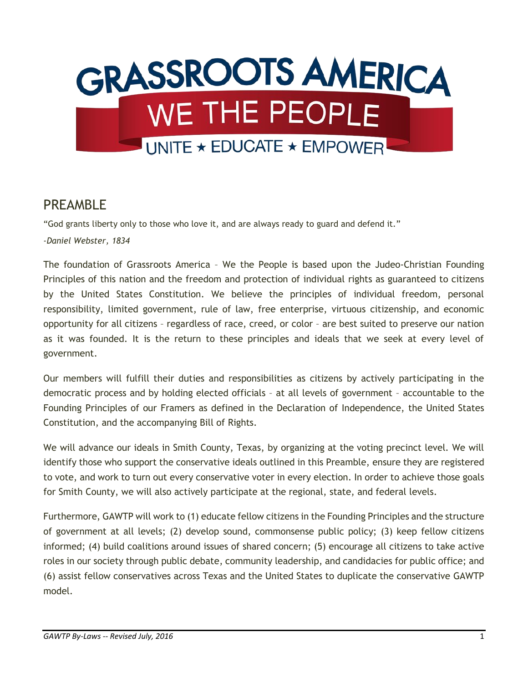

## PRFAMBI<sub>F</sub>

"God grants liberty only to those who love it, and are always ready to guard and defend it." *-Daniel Webster, 1834*

The foundation of Grassroots America – We the People is based upon the Judeo-Christian Founding Principles of this nation and the freedom and protection of individual rights as guaranteed to citizens by the United States Constitution. We believe the principles of individual freedom, personal responsibility, limited government, rule of law, free enterprise, virtuous citizenship, and economic opportunity for all citizens – regardless of race, creed, or color – are best suited to preserve our nation as it was founded. It is the return to these principles and ideals that we seek at every level of government.

Our members will fulfill their duties and responsibilities as citizens by actively participating in the democratic process and by holding elected officials – at all levels of government – accountable to the Founding Principles of our Framers as defined in the Declaration of Independence, the United States Constitution, and the accompanying Bill of Rights.

We will advance our ideals in Smith County, Texas, by organizing at the voting precinct level. We will identify those who support the conservative ideals outlined in this Preamble, ensure they are registered to vote, and work to turn out every conservative voter in every election. In order to achieve those goals for Smith County, we will also actively participate at the regional, state, and federal levels.

Furthermore, GAWTP will work to (1) educate fellow citizens in the Founding Principles and the structure of government at all levels; (2) develop sound, commonsense public policy; (3) keep fellow citizens informed; (4) build coalitions around issues of shared concern; (5) encourage all citizens to take active roles in our society through public debate, community leadership, and candidacies for public office; and (6) assist fellow conservatives across Texas and the United States to duplicate the conservative GAWTP model.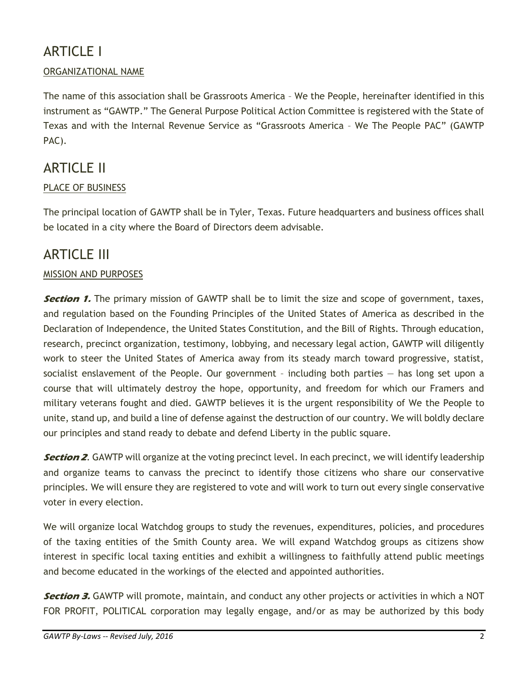# ARTICLE I

#### ORGANIZATIONAL NAME

The name of this association shall be Grassroots America – We the People, hereinafter identified in this instrument as "GAWTP." The General Purpose Political Action Committee is registered with the State of Texas and with the Internal Revenue Service as "Grassroots America – We The People PAC" (GAWTP PAC).

## ARTICLE II

#### PLACE OF BUSINESS

The principal location of GAWTP shall be in Tyler, Texas. Future headquarters and business offices shall be located in a city where the Board of Directors deem advisable.

### ARTICLE III

#### MISSION AND PURPOSES

**Section 1.** The primary mission of GAWTP shall be to limit the size and scope of government, taxes, and regulation based on the Founding Principles of the United States of America as described in the Declaration of Independence, the United States Constitution, and the Bill of Rights. Through education, research, precinct organization, testimony, lobbying, and necessary legal action, GAWTP will diligently work to steer the United States of America away from its steady march toward progressive, statist, socialist enslavement of the People. Our government – including both parties — has long set upon a course that will ultimately destroy the hope, opportunity, and freedom for which our Framers and military veterans fought and died. GAWTP believes it is the urgent responsibility of We the People to unite, stand up, and build a line of defense against the destruction of our country. We will boldly declare our principles and stand ready to debate and defend Liberty in the public square.

**Section 2**. GAWTP will organize at the voting precinct level. In each precinct, we will identify leadership and organize teams to canvass the precinct to identify those citizens who share our conservative principles. We will ensure they are registered to vote and will work to turn out every single conservative voter in every election.

We will organize local Watchdog groups to study the revenues, expenditures, policies, and procedures of the taxing entities of the Smith County area. We will expand Watchdog groups as citizens show interest in specific local taxing entities and exhibit a willingness to faithfully attend public meetings and become educated in the workings of the elected and appointed authorities.

**Section 3.** GAWTP will promote, maintain, and conduct any other projects or activities in which a NOT FOR PROFIT, POLITICAL corporation may legally engage, and/or as may be authorized by this body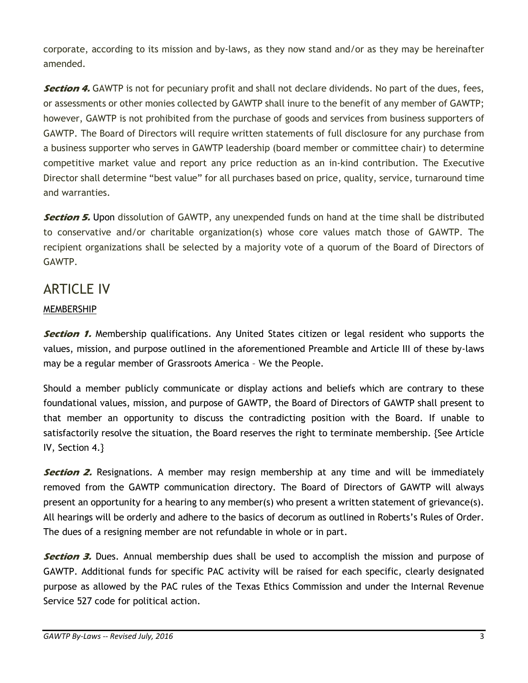corporate, according to its mission and by-laws, as they now stand and/or as they may be hereinafter amended.

**Section 4.** GAWTP is not for pecuniary profit and shall not declare dividends. No part of the dues, fees, or assessments or other monies collected by GAWTP shall inure to the benefit of any member of GAWTP; however, GAWTP is not prohibited from the purchase of goods and services from business supporters of GAWTP. The Board of Directors will require written statements of full disclosure for any purchase from a business supporter who serves in GAWTP leadership (board member or committee chair) to determine competitive market value and report any price reduction as an in-kind contribution. The Executive Director shall determine "best value" for all purchases based on price, quality, service, turnaround time and warranties.

**Section 5.** Upon dissolution of GAWTP, any unexpended funds on hand at the time shall be distributed to conservative and/or charitable organization(s) whose core values match those of GAWTP. The recipient organizations shall be selected by a majority vote of a quorum of the Board of Directors of GAWTP.

# ARTICLE IV

#### MEMBERSHIP

**Section 1.** Membership qualifications. Any United States citizen or legal resident who supports the values, mission, and purpose outlined in the aforementioned Preamble and Article III of these by-laws may be a regular member of Grassroots America – We the People.

Should a member publicly communicate or display actions and beliefs which are contrary to these foundational values, mission, and purpose of GAWTP, the Board of Directors of GAWTP shall present to that member an opportunity to discuss the contradicting position with the Board. If unable to satisfactorily resolve the situation, the Board reserves the right to terminate membership. {See Article IV, Section 4.}

**Section 2.** Resignations. A member may resign membership at any time and will be immediately removed from the GAWTP communication directory. The Board of Directors of GAWTP will always present an opportunity for a hearing to any member(s) who present a written statement of grievance(s). All hearings will be orderly and adhere to the basics of decorum as outlined in Roberts's Rules of Order. The dues of a resigning member are not refundable in whole or in part.

**Section 3.** Dues. Annual membership dues shall be used to accomplish the mission and purpose of GAWTP. Additional funds for specific PAC activity will be raised for each specific, clearly designated purpose as allowed by the PAC rules of the Texas Ethics Commission and under the Internal Revenue Service 527 code for political action.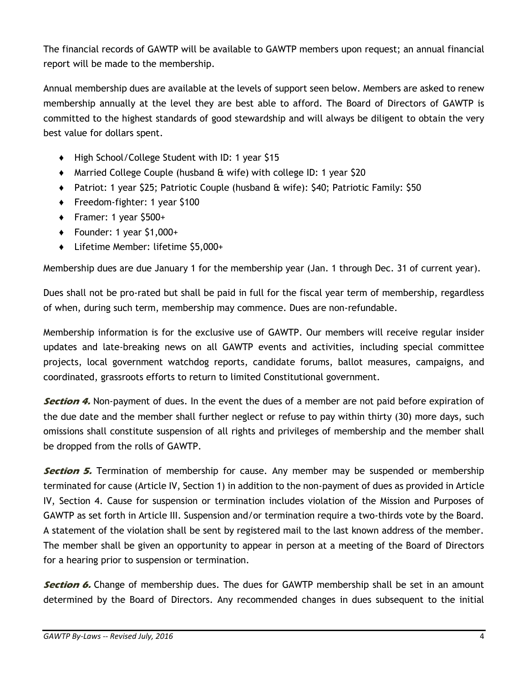The financial records of GAWTP will be available to GAWTP members upon request; an annual financial report will be made to the membership.

Annual membership dues are available at the levels of support seen below. Members are asked to renew membership annually at the level they are best able to afford. The Board of Directors of GAWTP is committed to the highest standards of good stewardship and will always be diligent to obtain the very best value for dollars spent.

- ♦ High School/College Student with ID: 1 year \$15
- ♦ Married College Couple (husband & wife) with college ID: 1 year \$20
- ♦ Patriot: 1 year \$25; Patriotic Couple (husband & wife): \$40; Patriotic Family: \$50
- ♦ Freedom-fighter: 1 year \$100
- ♦ Framer: 1 year \$500+
- $\bullet$  Founder: 1 year \$1,000+
- ♦ Lifetime Member: lifetime \$5,000+

Membership dues are due January 1 for the membership year (Jan. 1 through Dec. 31 of current year).

Dues shall not be pro-rated but shall be paid in full for the fiscal year term of membership, regardless of when, during such term, membership may commence. Dues are non-refundable.

Membership information is for the exclusive use of GAWTP. Our members will receive regular insider updates and late-breaking news on all GAWTP events and activities, including special committee projects, local government watchdog reports, candidate forums, ballot measures, campaigns, and coordinated, grassroots efforts to return to limited Constitutional government.

**Section 4.** Non-payment of dues. In the event the dues of a member are not paid before expiration of the due date and the member shall further neglect or refuse to pay within thirty (30) more days, such omissions shall constitute suspension of all rights and privileges of membership and the member shall be dropped from the rolls of GAWTP.

**Section 5.** Termination of membership for cause. Any member may be suspended or membership terminated for cause (Article IV, Section 1) in addition to the non-payment of dues as provided in Article IV, Section 4. Cause for suspension or termination includes violation of the Mission and Purposes of GAWTP as set forth in Article III. Suspension and/or termination require a two-thirds vote by the Board. A statement of the violation shall be sent by registered mail to the last known address of the member. The member shall be given an opportunity to appear in person at a meeting of the Board of Directors for a hearing prior to suspension or termination.

**Section 6.** Change of membership dues. The dues for GAWTP membership shall be set in an amount determined by the Board of Directors. Any recommended changes in dues subsequent to the initial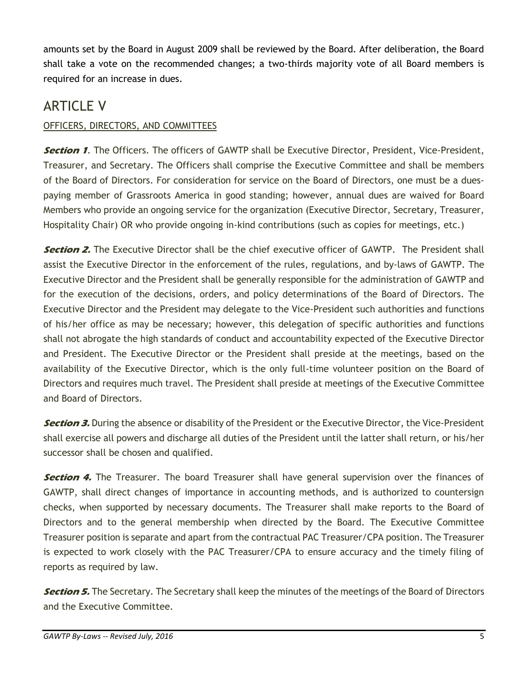amounts set by the Board in August 2009 shall be reviewed by the Board. After deliberation, the Board shall take a vote on the recommended changes; a two-thirds majority vote of all Board members is required for an increase in dues.

# ARTICLE V

#### OFFICERS, DIRECTORS, AND COMMITTEES

**Section 1.** The Officers. The officers of GAWTP shall be Executive Director, President, Vice-President, Treasurer, and Secretary. The Officers shall comprise the Executive Committee and shall be members of the Board of Directors. For consideration for service on the Board of Directors, one must be a duespaying member of Grassroots America in good standing; however, annual dues are waived for Board Members who provide an ongoing service for the organization (Executive Director, Secretary, Treasurer, Hospitality Chair) OR who provide ongoing in-kind contributions (such as copies for meetings, etc.)

**Section 2.** The Executive Director shall be the chief executive officer of GAWTP. The President shall assist the Executive Director in the enforcement of the rules, regulations, and by-laws of GAWTP. The Executive Director and the President shall be generally responsible for the administration of GAWTP and for the execution of the decisions, orders, and policy determinations of the Board of Directors. The Executive Director and the President may delegate to the Vice-President such authorities and functions of his/her office as may be necessary; however, this delegation of specific authorities and functions shall not abrogate the high standards of conduct and accountability expected of the Executive Director and President. The Executive Director or the President shall preside at the meetings, based on the availability of the Executive Director, which is the only full-time volunteer position on the Board of Directors and requires much travel. The President shall preside at meetings of the Executive Committee and Board of Directors.

**Section 3.** During the absence or disability of the President or the Executive Director, the Vice-President shall exercise all powers and discharge all duties of the President until the latter shall return, or his/her successor shall be chosen and qualified.

**Section 4.** The Treasurer. The board Treasurer shall have general supervision over the finances of GAWTP, shall direct changes of importance in accounting methods, and is authorized to countersign checks, when supported by necessary documents. The Treasurer shall make reports to the Board of Directors and to the general membership when directed by the Board. The Executive Committee Treasurer position is separate and apart from the contractual PAC Treasurer/CPA position. The Treasurer is expected to work closely with the PAC Treasurer/CPA to ensure accuracy and the timely filing of reports as required by law.

**Section 5.** The Secretary. The Secretary shall keep the minutes of the meetings of the Board of Directors and the Executive Committee.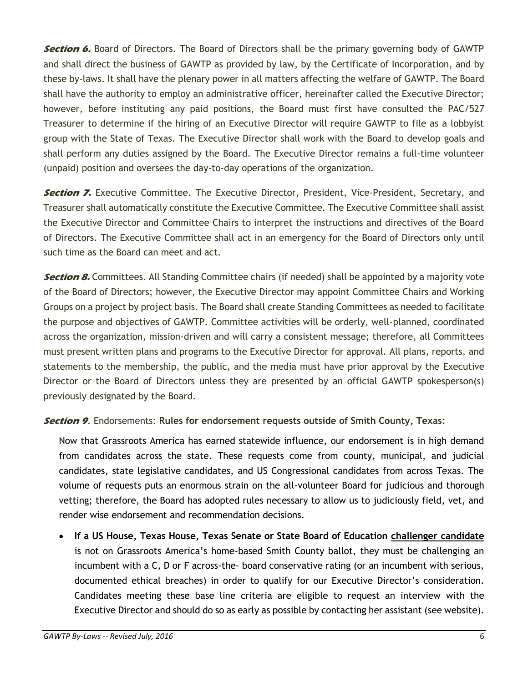**Section 6.** Board of Directors. The Board of Directors shall be the primary governing body of GAWTP and shall direct the business of GAWTP as provided by law, by the Certificate of Incorporation, and by these by-laws. It shall have the plenary power in all matters affecting the welfare of GAWTP. The Board shall have the authority to employ an administrative officer, hereinafter called the Executive Director; however, before instituting any paid positions, the Board must first have consulted the PAC/527 Treasurer to determine if the hiring of an Executive Director will require GAWTP to file as a lobbyist group with the State of Texas. The Executive Director shall work with the Board to develop goals and shall perform any duties assigned by the Board. The Executive Director remains a full-time volunteer (unpaid) position and oversees the day-to-day operations of the organization.

**Section 7.** Executive Committee. The Executive Director, President, Vice-President, Secretary, and Treasurer shall automatically constitute the Executive Committee. The Executive Committee shall assist the Executive Director and Committee Chairs to interpret the instructions and directives of the Board of Directors. The Executive Committee shall act in an emergency for the Board of Directors only until such time as the Board can meet and act.

**Section 8.** Committees. All Standing Committee chairs (if needed) shall be appointed by a majority vote of the Board of Directors; however, the Executive Director may appoint Committee Chairs and Working Groups on a project by project basis. The Board shall create Standing Committees as needed to facilitate the purpose and objectives of GAWTP. Committee activities will be orderly, well-planned, coordinated across the organization, mission-driven and will carry a consistent message; therefore, all Committees must present written plans and programs to the Executive Director for approval. All plans, reports, and statements to the membership, the public, and the media must have prior approval by the Executive Director or the Board of Directors unless they are presented by an official GAWTP spokesperson(s) previously designated by the Board.

**Section 9**. Endorsements: **Rules for endorsement requests outside of Smith County, Texas:** 

Now that Grassroots America has earned statewide influence, our endorsement is in high demand from candidates across the state. These requests come from county, municipal, and judicial candidates, state legislative candidates, and US Congressional candidates from across Texas. The volume of requests puts an enormous strain on the all-volunteer Board for judicious and thorough vetting; therefore, the Board has adopted rules necessary to allow us to judiciously field, vet, and render wise endorsement and recommendation decisions.

• **If a US House, Texas House, Texas Senate or State Board of Education challenger candidate** is not on Grassroots America's home-based Smith County ballot, they must be challenging an incumbent with a C, D or F across-the- board conservative rating (or an incumbent with serious, documented ethical breaches) in order to qualify for our Executive Director's consideration. Candidates meeting these base line criteria are eligible to request an interview with the Executive Director and should do so as early as possible by contacting her assistant (see website).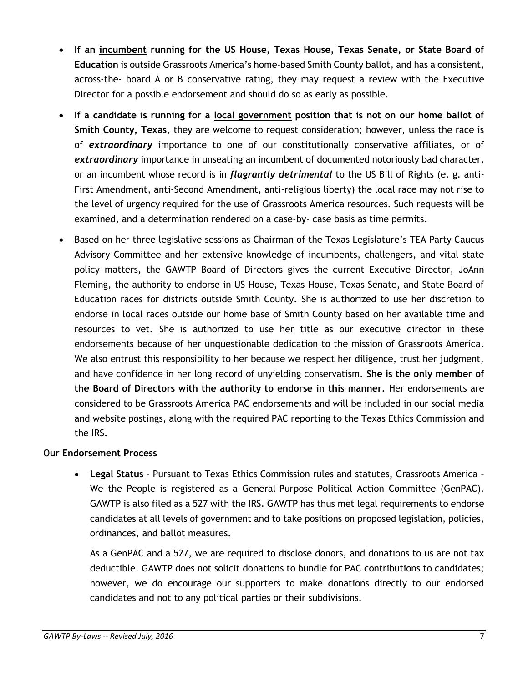- **If an incumbent running for the US House, Texas House, Texas Senate, or State Board of Education** is outside Grassroots America's home-based Smith County ballot, and has a consistent, across-the- board A or B conservative rating, they may request a review with the Executive Director for a possible endorsement and should do so as early as possible.
- **If a candidate is running for a local government position that is not on our home ballot of Smith County, Texas**, they are welcome to request consideration; however, unless the race is of *extraordinary* importance to one of our constitutionally conservative affiliates, or of *extraordinary* importance in unseating an incumbent of documented notoriously bad character, or an incumbent whose record is in *flagrantly detrimental* to the US Bill of Rights (e. g. anti-First Amendment, anti-Second Amendment, anti-religious liberty) the local race may not rise to the level of urgency required for the use of Grassroots America resources. Such requests will be examined, and a determination rendered on a case-by- case basis as time permits.
- Based on her three legislative sessions as Chairman of the Texas Legislature's TEA Party Caucus Advisory Committee and her extensive knowledge of incumbents, challengers, and vital state policy matters, the GAWTP Board of Directors gives the current Executive Director, JoAnn Fleming, the authority to endorse in US House, Texas House, Texas Senate, and State Board of Education races for districts outside Smith County. She is authorized to use her discretion to endorse in local races outside our home base of Smith County based on her available time and resources to vet. She is authorized to use her title as our executive director in these endorsements because of her unquestionable dedication to the mission of Grassroots America. We also entrust this responsibility to her because we respect her diligence, trust her judgment, and have confidence in her long record of unyielding conservatism. **She is the only member of the Board of Directors with the authority to endorse in this manner.** Her endorsements are considered to be Grassroots America PAC endorsements and will be included in our social media and website postings, along with the required PAC reporting to the Texas Ethics Commission and the IRS.

#### O**ur Endorsement Process**

• **Legal Status** – Pursuant to Texas Ethics Commission rules and statutes, Grassroots America – We the People is registered as a General-Purpose Political Action Committee (GenPAC). GAWTP is also filed as a 527 with the IRS. GAWTP has thus met legal requirements to endorse candidates at all levels of government and to take positions on proposed legislation, policies, ordinances, and ballot measures.

As a GenPAC and a 527, we are required to disclose donors, and donations to us are not tax deductible. GAWTP does not solicit donations to bundle for PAC contributions to candidates; however, we do encourage our supporters to make donations directly to our endorsed candidates and not to any political parties or their subdivisions.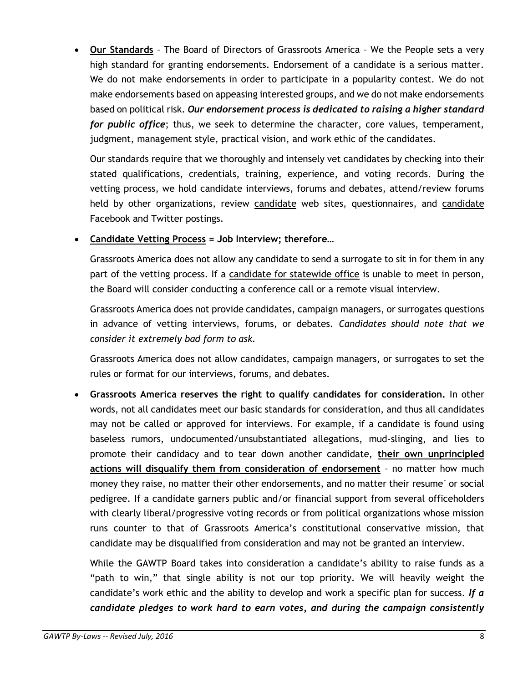• **Our Standards** – The Board of Directors of Grassroots America – We the People sets a very high standard for granting endorsements. Endorsement of a candidate is a serious matter. We do not make endorsements in order to participate in a popularity contest. We do not make endorsements based on appeasing interested groups, and we do not make endorsements based on political risk. *Our endorsement process is dedicated to raising a higher standard for public office*; thus, we seek to determine the character, core values, temperament, judgment, management style, practical vision, and work ethic of the candidates.

Our standards require that we thoroughly and intensely vet candidates by checking into their stated qualifications, credentials, training, experience, and voting records. During the vetting process, we hold candidate interviews, forums and debates, attend/review forums held by other organizations, review candidate web sites, questionnaires, and candidate Facebook and Twitter postings.

• **Candidate Vetting Process = Job Interview; therefore…**

Grassroots America does not allow any candidate to send a surrogate to sit in for them in any part of the vetting process. If a candidate for statewide office is unable to meet in person, the Board will consider conducting a conference call or a remote visual interview.

Grassroots America does not provide candidates, campaign managers, or surrogates questions in advance of vetting interviews, forums, or debates. *Candidates should note that we consider it extremely bad form to ask.*

Grassroots America does not allow candidates, campaign managers, or surrogates to set the rules or format for our interviews, forums, and debates.

• **Grassroots America reserves the right to qualify candidates for consideration.** In other words, not all candidates meet our basic standards for consideration, and thus all candidates may not be called or approved for interviews. For example, if a candidate is found using baseless rumors, undocumented/unsubstantiated allegations, mud-slinging, and lies to promote their candidacy and to tear down another candidate, **their own unprincipled actions will disqualify them from consideration of endorsement** – no matter how much money they raise, no matter their other endorsements, and no matter their resume´ or social pedigree. If a candidate garners public and/or financial support from several officeholders with clearly liberal/progressive voting records or from political organizations whose mission runs counter to that of Grassroots America's constitutional conservative mission, that candidate may be disqualified from consideration and may not be granted an interview.

While the GAWTP Board takes into consideration a candidate's ability to raise funds as a "path to win," that single ability is not our top priority. We will heavily weight the candidate's work ethic and the ability to develop and work a specific plan for success. *If a candidate pledges to work hard to earn votes, and during the campaign consistently*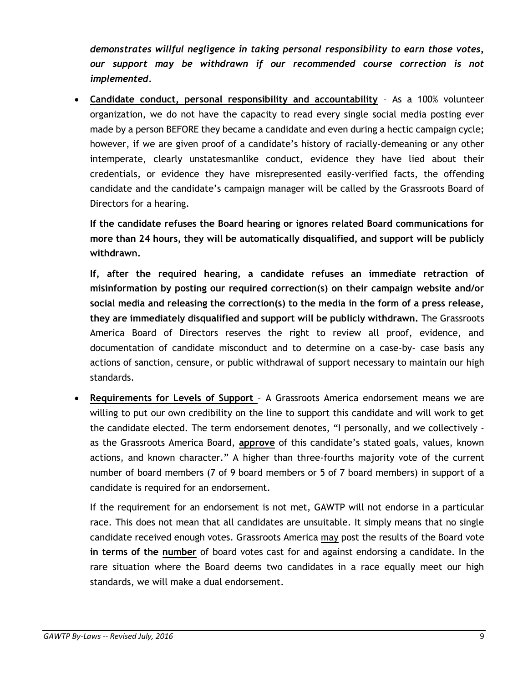*demonstrates willful negligence in taking personal responsibility to earn those votes, our support may be withdrawn if our recommended course correction is not implemented.*

• **Candidate conduct, personal responsibility and accountability** – As a 100% volunteer organization, we do not have the capacity to read every single social media posting ever made by a person BEFORE they became a candidate and even during a hectic campaign cycle; however, if we are given proof of a candidate's history of racially-demeaning or any other intemperate, clearly unstatesmanlike conduct, evidence they have lied about their credentials, or evidence they have misrepresented easily-verified facts, the offending candidate and the candidate's campaign manager will be called by the Grassroots Board of Directors for a hearing.

**If the candidate refuses the Board hearing or ignores related Board communications for more than 24 hours, they will be automatically disqualified, and support will be publicly withdrawn.** 

**If, after the required hearing, a candidate refuses an immediate retraction of misinformation by posting our required correction(s) on their campaign website and/or social media and releasing the correction(s) to the media in the form of a press release, they are immediately disqualified and support will be publicly withdrawn.** The Grassroots America Board of Directors reserves the right to review all proof, evidence, and documentation of candidate misconduct and to determine on a case-by- case basis any actions of sanction, censure, or public withdrawal of support necessary to maintain our high standards.

• **Requirements for Levels of Support** – A Grassroots America endorsement means we are willing to put our own credibility on the line to support this candidate and will work to get the candidate elected. The term endorsement denotes, "I personally, and we collectively as the Grassroots America Board, **approve** of this candidate's stated goals, values, known actions, and known character." A higher than three-fourths majority vote of the current number of board members (7 of 9 board members or 5 of 7 board members) in support of a candidate is required for an endorsement.

If the requirement for an endorsement is not met, GAWTP will not endorse in a particular race. This does not mean that all candidates are unsuitable. It simply means that no single candidate received enough votes. Grassroots America may post the results of the Board vote **in terms of the number** of board votes cast for and against endorsing a candidate. In the rare situation where the Board deems two candidates in a race equally meet our high standards, we will make a dual endorsement.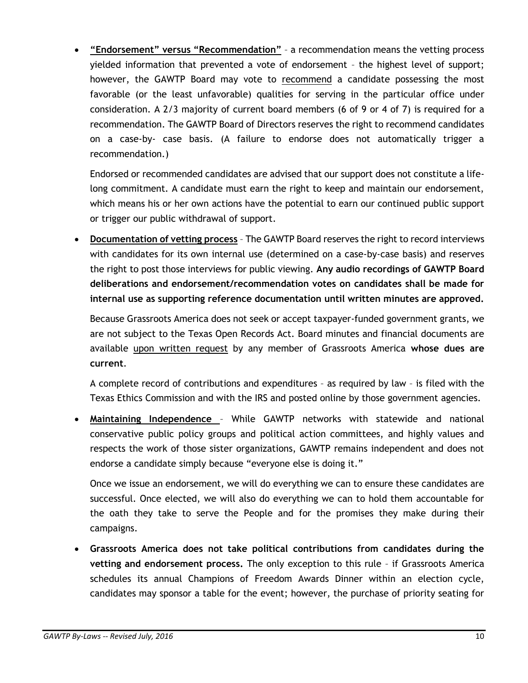• **"Endorsement" versus "Recommendation"** – a recommendation means the vetting process yielded information that prevented a vote of endorsement – the highest level of support; however, the GAWTP Board may vote to recommend a candidate possessing the most favorable (or the least unfavorable) qualities for serving in the particular office under consideration. A 2/3 majority of current board members (6 of 9 or 4 of 7) is required for a recommendation. The GAWTP Board of Directors reserves the right to recommend candidates on a case-by- case basis. (A failure to endorse does not automatically trigger a recommendation.)

Endorsed or recommended candidates are advised that our support does not constitute a lifelong commitment. A candidate must earn the right to keep and maintain our endorsement, which means his or her own actions have the potential to earn our continued public support or trigger our public withdrawal of support.

• **Documentation of vetting process** – The GAWTP Board reserves the right to record interviews with candidates for its own internal use (determined on a case-by-case basis) and reserves the right to post those interviews for public viewing. **Any audio recordings of GAWTP Board deliberations and endorsement/recommendation votes on candidates shall be made for internal use as supporting reference documentation until written minutes are approved.**

Because Grassroots America does not seek or accept taxpayer-funded government grants, we are not subject to the Texas Open Records Act. Board minutes and financial documents are available upon written request by any member of Grassroots America **whose dues are current**.

A complete record of contributions and expenditures – as required by law – is filed with the Texas Ethics Commission and with the IRS and posted online by those government agencies.

• **Maintaining Independence** – While GAWTP networks with statewide and national conservative public policy groups and political action committees, and highly values and respects the work of those sister organizations, GAWTP remains independent and does not endorse a candidate simply because "everyone else is doing it."

Once we issue an endorsement, we will do everything we can to ensure these candidates are successful. Once elected, we will also do everything we can to hold them accountable for the oath they take to serve the People and for the promises they make during their campaigns.

• **Grassroots America does not take political contributions from candidates during the vetting and endorsement process.** The only exception to this rule – if Grassroots America schedules its annual Champions of Freedom Awards Dinner within an election cycle, candidates may sponsor a table for the event; however, the purchase of priority seating for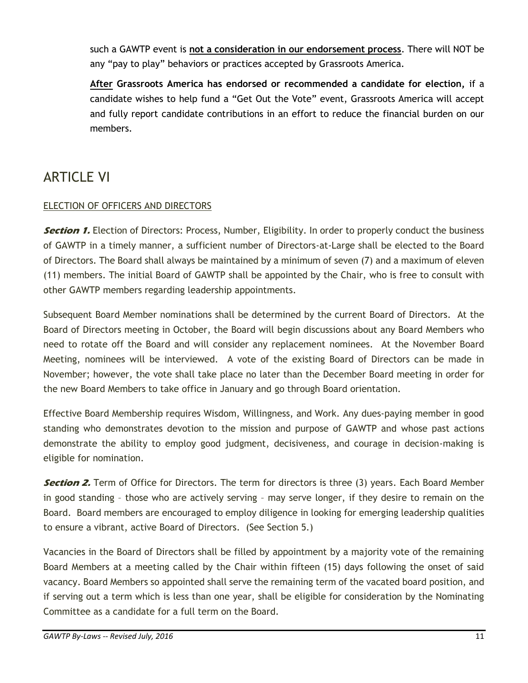such a GAWTP event is **not a consideration in our endorsement process**. There will NOT be any "pay to play" behaviors or practices accepted by Grassroots America.

**After Grassroots America has endorsed or recommended a candidate for election,** if a candidate wishes to help fund a "Get Out the Vote" event, Grassroots America will accept and fully report candidate contributions in an effort to reduce the financial burden on our members.

# ARTICLE VI

#### ELECTION OF OFFICERS AND DIRECTORS

**Section 1.** Election of Directors: Process, Number, Eligibility. In order to properly conduct the business of GAWTP in a timely manner, a sufficient number of Directors-at-Large shall be elected to the Board of Directors. The Board shall always be maintained by a minimum of seven (7) and a maximum of eleven (11) members. The initial Board of GAWTP shall be appointed by the Chair, who is free to consult with other GAWTP members regarding leadership appointments.

Subsequent Board Member nominations shall be determined by the current Board of Directors. At the Board of Directors meeting in October, the Board will begin discussions about any Board Members who need to rotate off the Board and will consider any replacement nominees. At the November Board Meeting, nominees will be interviewed. A vote of the existing Board of Directors can be made in November; however, the vote shall take place no later than the December Board meeting in order for the new Board Members to take office in January and go through Board orientation.

Effective Board Membership requires Wisdom, Willingness, and Work. Any dues-paying member in good standing who demonstrates devotion to the mission and purpose of GAWTP and whose past actions demonstrate the ability to employ good judgment, decisiveness, and courage in decision-making is eligible for nomination.

**Section 2.** Term of Office for Directors. The term for directors is three (3) years. Each Board Member in good standing – those who are actively serving – may serve longer, if they desire to remain on the Board. Board members are encouraged to employ diligence in looking for emerging leadership qualities to ensure a vibrant, active Board of Directors. (See Section 5.)

Vacancies in the Board of Directors shall be filled by appointment by a majority vote of the remaining Board Members at a meeting called by the Chair within fifteen (15) days following the onset of said vacancy. Board Members so appointed shall serve the remaining term of the vacated board position, and if serving out a term which is less than one year, shall be eligible for consideration by the Nominating Committee as a candidate for a full term on the Board.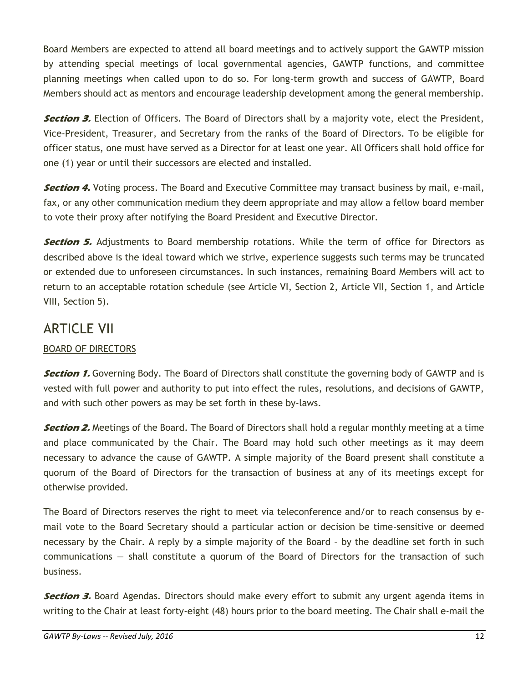Board Members are expected to attend all board meetings and to actively support the GAWTP mission by attending special meetings of local governmental agencies, GAWTP functions, and committee planning meetings when called upon to do so. For long-term growth and success of GAWTP, Board Members should act as mentors and encourage leadership development among the general membership.

**Section 3.** Election of Officers. The Board of Directors shall by a majority vote, elect the President, Vice-President, Treasurer, and Secretary from the ranks of the Board of Directors. To be eligible for officer status, one must have served as a Director for at least one year. All Officers shall hold office for one (1) year or until their successors are elected and installed.

**Section 4.** Voting process. The Board and Executive Committee may transact business by mail, e-mail, fax, or any other communication medium they deem appropriate and may allow a fellow board member to vote their proxy after notifying the Board President and Executive Director.

**Section 5.** Adjustments to Board membership rotations. While the term of office for Directors as described above is the ideal toward which we strive, experience suggests such terms may be truncated or extended due to unforeseen circumstances. In such instances, remaining Board Members will act to return to an acceptable rotation schedule (see Article VI, Section 2, Article VII, Section 1, and Article VIII, Section 5).

## ARTICLE VII

#### BOARD OF DIRECTORS

**Section 1.** Governing Body. The Board of Directors shall constitute the governing body of GAWTP and is vested with full power and authority to put into effect the rules, resolutions, and decisions of GAWTP, and with such other powers as may be set forth in these by-laws.

**Section 2.** Meetings of the Board. The Board of Directors shall hold a regular monthly meeting at a time and place communicated by the Chair. The Board may hold such other meetings as it may deem necessary to advance the cause of GAWTP. A simple majority of the Board present shall constitute a quorum of the Board of Directors for the transaction of business at any of its meetings except for otherwise provided.

The Board of Directors reserves the right to meet via teleconference and/or to reach consensus by email vote to the Board Secretary should a particular action or decision be time-sensitive or deemed necessary by the Chair. A reply by a simple majority of the Board – by the deadline set forth in such communications — shall constitute a quorum of the Board of Directors for the transaction of such business.

**Section 3.** Board Agendas. Directors should make every effort to submit any urgent agenda items in writing to the Chair at least forty-eight (48) hours prior to the board meeting. The Chair shall e-mail the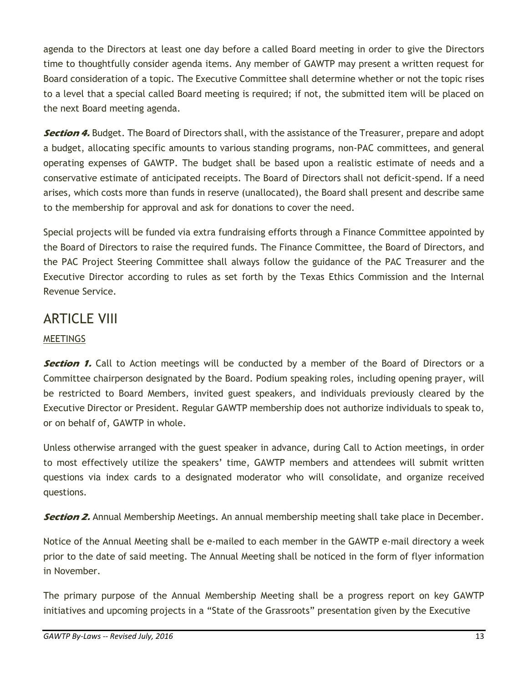agenda to the Directors at least one day before a called Board meeting in order to give the Directors time to thoughtfully consider agenda items. Any member of GAWTP may present a written request for Board consideration of a topic. The Executive Committee shall determine whether or not the topic rises to a level that a special called Board meeting is required; if not, the submitted item will be placed on the next Board meeting agenda.

**Section 4.** Budget. The Board of Directors shall, with the assistance of the Treasurer, prepare and adopt a budget, allocating specific amounts to various standing programs, non-PAC committees, and general operating expenses of GAWTP. The budget shall be based upon a realistic estimate of needs and a conservative estimate of anticipated receipts. The Board of Directors shall not deficit-spend. If a need arises, which costs more than funds in reserve (unallocated), the Board shall present and describe same to the membership for approval and ask for donations to cover the need.

Special projects will be funded via extra fundraising efforts through a Finance Committee appointed by the Board of Directors to raise the required funds. The Finance Committee, the Board of Directors, and the PAC Project Steering Committee shall always follow the guidance of the PAC Treasurer and the Executive Director according to rules as set forth by the Texas Ethics Commission and the Internal Revenue Service.

# ARTICLE VIII

### **MEETINGS**

**Section 1.** Call to Action meetings will be conducted by a member of the Board of Directors or a Committee chairperson designated by the Board. Podium speaking roles, including opening prayer, will be restricted to Board Members, invited guest speakers, and individuals previously cleared by the Executive Director or President. Regular GAWTP membership does not authorize individuals to speak to, or on behalf of, GAWTP in whole.

Unless otherwise arranged with the guest speaker in advance, during Call to Action meetings, in order to most effectively utilize the speakers' time, GAWTP members and attendees will submit written questions via index cards to a designated moderator who will consolidate, and organize received questions.

**Section 2.** Annual Membership Meetings. An annual membership meeting shall take place in December.

Notice of the Annual Meeting shall be e-mailed to each member in the GAWTP e-mail directory a week prior to the date of said meeting. The Annual Meeting shall be noticed in the form of flyer information in November.

The primary purpose of the Annual Membership Meeting shall be a progress report on key GAWTP initiatives and upcoming projects in a "State of the Grassroots" presentation given by the Executive